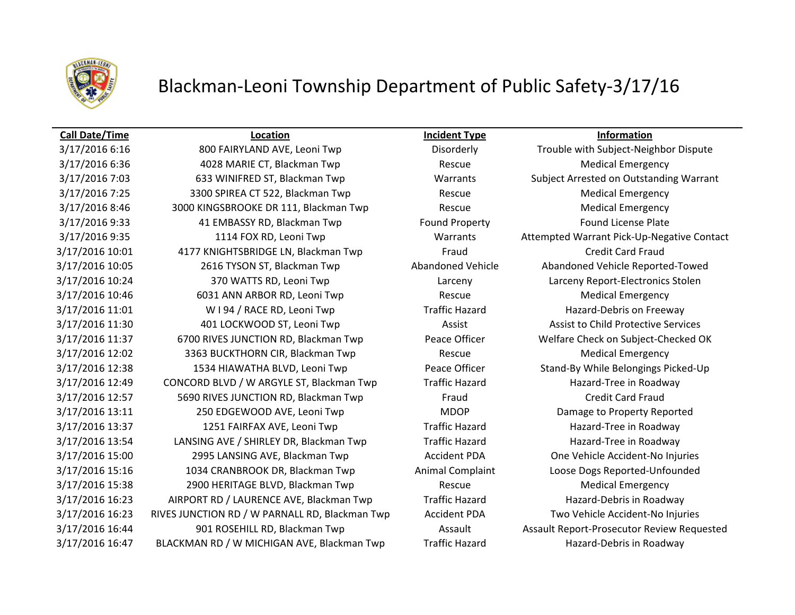

## Blackman-Leoni Township Department of Public Safety-3/17/16

## **Call Date/Time Location Incident Type Information**

3/17/2016 6:16 800 FAIRYLAND AVE, Leoni Twp Disorderly Trouble with Subject-Neighbor Dispute 3/17/2016 6:36 4028 MARIE CT, Blackman Twp Rescue Rescue Medical Emergency 3/17/2016 7:03 633 WINIFRED ST, Blackman Twp Warrants Subject Arrested on Outstanding Warrant 3/17/2016 7:25 3300 SPIREA CT 522, Blackman Twp Rescue Rescue Medical Emergency 3/17/2016 8:46 3000 KINGSBROOKE DR 111, Blackman Twp Rescue Medical Emergency 3/17/2016 9:33 41 EMBASSY RD, Blackman Twp Found Property Found License Plate 3/17/2016 9:35 1114 FOX RD, Leoni Twp Warrants Attempted Warrant Pick-Up-Negative Contact 3/17/2016 10:01 4177 KNIGHTSBRIDGE LN, Blackman Twp Fraud Credit Card Fraud 3/17/2016 10:05 2616 TYSON ST, Blackman Twp Abandoned Vehicle Abandoned Vehicle Reported-Towed 3/17/2016 10:24 370 WATTS RD, Leoni Twp Larceny Larceny Report-Electronics Stolen 3/17/2016 10:46 6031 ANN ARBOR RD, Leoni Twp Rescue Rescue Medical Emergency 3/17/2016 11:01 W I 94 / RACE RD, Leoni Twp Traffic Hazard Hazard-Debris on Freeway 3/17/2016 11:30 401 LOCKWOOD ST, Leoni Twp Assist Assist Assist to Child Protective Services 3/17/2016 11:37 6700 RIVES JUNCTION RD, Blackman Twp Peace Officer Welfare Check on Subject-Checked OK 3/17/2016 12:02 3363 BUCKTHORN CIR, Blackman Twp Rescue Medical Emergency 3/17/2016 12:38 1534 HIAWATHA BLVD, Leoni Twp Peace Officer Stand-By While Belongings Picked-Up 3/17/2016 12:49 CONCORD BLVD / W ARGYLE ST, Blackman Twp Traffic Hazard Hazard Hazard-Tree in Roadway 3/17/2016 12:57 5690 RIVES JUNCTION RD, Blackman Twp Fraud Fraud Credit Card Fraud 3/17/2016 13:11 250 EDGEWOOD AVE, Leoni Twp MDOP MOOP Damage to Property Reported 3/17/2016 13:37 1251 FAIRFAX AVE, Leoni Twp Traffic Hazard Hazard-Tree in Roadway 3/17/2016 13:54 LANSING AVE / SHIRLEY DR, Blackman Twp Traffic Hazard Hazard-Tree in Roadway 3/17/2016 15:00 2995 LANSING AVE, Blackman Twp Accident PDA One Vehicle Accident-No Injuries 3/17/2016 15:16 1034 CRANBROOK DR, Blackman Twp Animal Complaint Loose Dogs Reported-Unfounded 3/17/2016 15:38 2900 HERITAGE BLVD, Blackman Twp Rescue Medical Emergency 3/17/2016 16:23 AIRPORT RD / LAURENCE AVE, Blackman Twp Traffic Hazard Hazard Hazard-Debris in Roadway 3/17/2016 16:23 RIVES JUNCTION RD / W PARNALL RD, Blackman Twp Accident PDA Two Vehicle Accident-No Injuries 3/17/2016 16:44 901 ROSEHILL RD, Blackman Twp Assault Assault Report-Prosecutor Review Requested 3/17/2016 16:47 BLACKMAN RD / W MICHIGAN AVE, Blackman Twp Traffic Hazard Hazard Hazard-Debris in Roadway